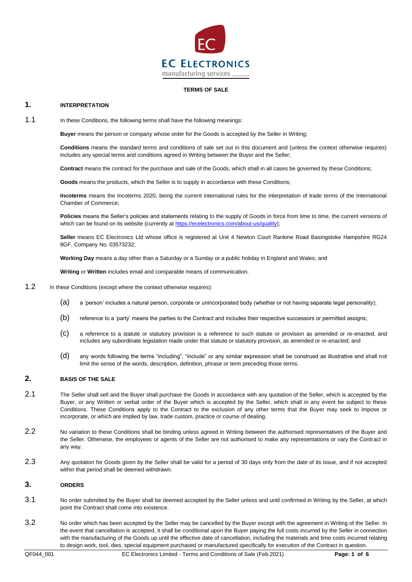

#### **TERMS OF SALE**

### **1. INTERPRETATION**

1.1 In these Conditions, the following terms shall have the following meanings:

**Buyer** means the person or company whose order for the Goods is accepted by the Seller in Writing;

**Conditions** means the standard terms and conditions of sale set out in this document and (unless the context otherwise requires) includes any special terms and conditions agreed in Writing between the Buyer and the Seller;

**Contract** means the contract for the purchase and sale of the Goods, which shall in all cases be governed by these Conditions;

**Goods** means the products, which the Seller is to supply in accordance with these Conditions;

**Incoterms** means the Incoterms 2020, being the current international rules for the interpretation of trade terms of the International Chamber of Commerce;

Policies means the Seller's policies and statements relating to the supply of Goods in force from time to time, the current versions of which can be found on its website (currently a[t https://ecelectronics.com/about-us/quality\)](https://ecelectronics.com/about-us/quality);

**Seller** means EC Electronics Ltd whose office is registered at Unit 4 Newton Court Rankine Road Basingstoke Hampshire RG24 8GF, Company No. 03573232;

**Working Day** means a day other than a Saturday or a Sunday or a public holiday in England and Wales; and

**Writing** or **Written** includes email and comparable means of communication.

- 1.2 In these Conditions (except where the context otherwise requires):
	- (a) a 'person' includes a natural person, corporate or unincorporated body (whether or not having separate legal personality);
	- (b) reference to a 'party' means the parties to the Contract and includes their respective successors or permitted assigns;
	- (c) a reference to a statute or statutory provision is a reference to such statute or provision as amended or re-enacted, and includes any subordinate legislation made under that statute or statutory provision, as amended or re-enacted; and
	- (d) any words following the terms "including", "include" or any similar expression shall be construed as illustrative and shall not limit the sense of the words, description, definition, phrase or term preceding those terms.

### **2. BASIS OF THE SALE**

- 2.1 The Seller shall sell and the Buyer shall purchase the Goods in accordance with any quotation of the Seller, which is accepted by the Buyer, or any Written or verbal order of the Buyer which is accepted by the Seller, which shall in any event be subject to these Conditions. These Conditions apply to the Contract to the exclusion of any other terms that the Buyer may seek to impose or incorporate, or which are implied by law, trade custom, practice or course of dealing.
- 2.2 No variation to these Conditions shall be binding unless agreed in Writing between the authorised representatives of the Buyer and the Seller. Otherwise, the employees or agents of the Seller are not authorised to make any representations or vary the Contract in any way.
- 2.3 Any quotation for Goods given by the Seller shall be valid for a period of 30 days only from the date of its issue, and if not accepted within that period shall be deemed withdrawn.

### <span id="page-0-0"></span>**3. ORDERS**

- 3.1 No order submitted by the Buyer shall be deemed accepted by the Seller unless and until confirmed in Writing by the Seller, at which point the Contract shall come into existence.
- <span id="page-0-1"></span>3.2 No order which has been accepted by the Seller may be cancelled by the Buyer except with the agreement in Writing of the Seller. In the event that cancellation is accepted, it shall be conditional upon the Buyer paying the full costs incurred by the Seller in connection with the manufacturing of the Goods up until the effective date of cancellation, including the materials and time costs incurred relating to design work, tool, dies, special equipment purchased or manufactured specifically for execution of the Contract in question.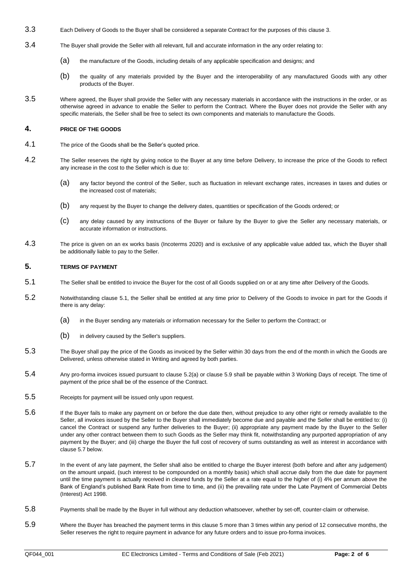- 3.3 Each Delivery of Goods to the Buyer shall be considered a separate Contract for the purposes of this clause [3.](#page-0-0)
- 3.4 The Buyer shall provide the Seller with all relevant, full and accurate information in the any order relating to:
	- (a) the manufacture of the Goods, including details of any applicable specification and designs; and
	- (b) the quality of any materials provided by the Buyer and the interoperability of any manufactured Goods with any other products of the Buyer.
- 3.5 Where agreed, the Buyer shall provide the Seller with any necessary materials in accordance with the instructions in the order, or as otherwise agreed in advance to enable the Seller to perform the Contract. Where the Buyer does not provide the Seller with any specific materials, the Seller shall be free to select its own components and materials to manufacture the Goods.

### **4. PRICE OF THE GOODS**

- 4.1 The price of the Goods shall be the Seller's quoted price.
- 4.2 The Seller reserves the right by giving notice to the Buyer at any time before Delivery, to increase the price of the Goods to reflect any increase in the cost to the Seller which is due to:
	- (a) any factor beyond the control of the Seller, such as fluctuation in relevant exchange rates, increases in taxes and duties or the increased cost of materials;
	- (b) any request by the Buyer to change the delivery dates, quantities or specification of the Goods ordered; or
	- (c) any delay caused by any instructions of the Buyer or failure by the Buyer to give the Seller any necessary materials, or accurate information or instructions.
- 4.3 The price is given on an ex works basis (Incoterms 2020) and is exclusive of any applicable value added tax, which the Buyer shall be additionally liable to pay to the Seller.

#### <span id="page-1-4"></span>**5. TERMS OF PAYMENT**

- <span id="page-1-0"></span>5.1 The Seller shall be entitled to invoice the Buyer for the cost of all Goods supplied on or at any time after Delivery of the Goods.
- <span id="page-1-1"></span>5.2 Notwithstanding clause [5.1,](#page-1-0) the Seller shall be entitled at any time prior to Delivery of the Goods to invoice in part for the Goods if there is any delay:
	- (a) in the Buyer sending any materials or information necessary for the Seller to perform the Contract; or
	- (b) in delivery caused by the Seller's suppliers.
- 5.3 The Buyer shall pay the price of the Goods as invoiced by the Seller within 30 days from the end of the month in which the Goods are Delivered, unless otherwise stated in Writing and agreed by both parties.
- 5.4 Any pro-forma invoices issued pursuant to clause [5.2\(](#page-1-1)a) or clause [5.9](#page-1-2) shall be payable within 3 Working Days of receipt. The time of payment of the price shall be of the essence of the Contract.
- 5.5 Receipts for payment will be issued only upon request.
- 5.6 If the Buyer fails to make any payment on or before the due date then, without prejudice to any other right or remedy available to the Seller, all invoices issued by the Seller to the Buyer shall immediately become due and payable and the Seller shall be entitled to: (i) cancel the Contract or suspend any further deliveries to the Buyer; (ii) appropriate any payment made by the Buyer to the Seller under any other contract between them to such Goods as the Seller may think fit, notwithstanding any purported appropriation of any payment by the Buyer; and (iii) charge the Buyer the full cost of recovery of sums outstanding as well as interest in accordance with clause [5.7](#page-1-3) below.
- <span id="page-1-3"></span>5.7 In the event of any late payment, the Seller shall also be entitled to charge the Buyer interest (both before and after any judgement) on the amount unpaid, (such interest to be compounded on a monthly basis) which shall accrue daily from the due date for payment until the time payment is actually received in cleared funds by the Seller at a rate equal to the higher of (i) 4% per annum above the Bank of England's published Bank Rate from time to time, and (ii) the prevailing rate under the Late Payment of Commercial Debts (Interest) Act 1998.
- 5.8 Payments shall be made by the Buyer in full without any deduction whatsoever, whether by set-off, counter-claim or otherwise.
- <span id="page-1-2"></span>5.9 Where the Buyer has breached the payment terms in this claus[e 5](#page-1-4) more than 3 times within any period of 12 consecutive months, the Seller reserves the right to require payment in advance for any future orders and to issue pro-forma invoices.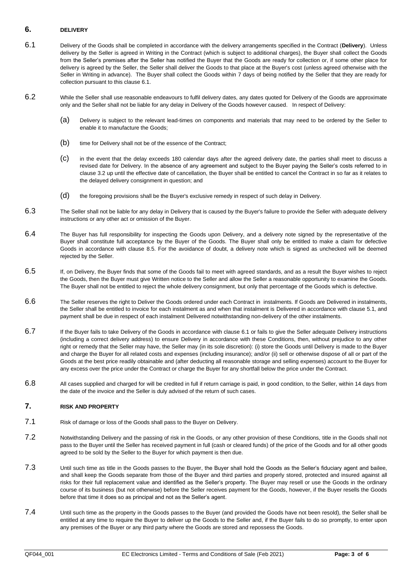### **6. DELIVERY**

- <span id="page-2-0"></span>6.1 Delivery of the Goods shall be completed in accordance with the delivery arrangements specified in the Contract (**Delivery**). Unless delivery by the Seller is agreed in Writing in the Contract (which is subject to additional charges), the Buyer shall collect the Goods from the Seller's premises after the Seller has notified the Buyer that the Goods are ready for collection or, if some other place for delivery is agreed by the Seller, the Seller shall deliver the Goods to that place at the Buyer's cost (unless agreed otherwise with the Seller in Writing in advance). The Buyer shall collect the Goods within 7 days of being notified by the Seller that they are ready for collection pursuant to this clause [6.1.](#page-2-0)
- 6.2 While the Seller shall use reasonable endeavours to fulfil delivery dates, any dates quoted for Delivery of the Goods are approximate only and the Seller shall not be liable for any delay in Delivery of the Goods however caused. In respect of Delivery:
	- (a) Delivery is subject to the relevant lead-times on components and materials that may need to be ordered by the Seller to enable it to manufacture the Goods;
	- (b) time for Delivery shall not be of the essence of the Contract;
	- (c) in the event that the delay exceeds 180 calendar days after the agreed delivery date, the parties shall meet to discuss a revised date for Delivery. In the absence of any agreement and subject to the Buyer paying the Seller's costs referred to in clause [3.2](#page-0-1) up until the effective date of cancellation, the Buyer shall be entitled to cancel the Contract in so far as it relates to the delayed delivery consignment in question; and
	- (d) the foregoing provisions shall be the Buyer's exclusive remedy in respect of such delay in Delivery.
- 6.3 The Seller shall not be liable for any delay in Delivery that is caused by the Buyer's failure to provide the Seller with adequate delivery instructions or any other act or omission of the Buyer.
- 6.4 The Buyer has full responsibility for inspecting the Goods upon Delivery, and a delivery note signed by the representative of the Buyer shall constitute full acceptance by the Buyer of the Goods. The Buyer shall only be entitled to make a claim for defective Goods in accordance with clause [8.5.](#page-3-0) For the avoidance of doubt, a delivery note which is signed as unchecked will be deemed rejected by the Seller.
- 6.5 If, on Delivery, the Buyer finds that some of the Goods fail to meet with agreed standards, and as a result the Buyer wishes to reject the Goods, then the Buyer must give Written notice to the Seller and allow the Seller a reasonable opportunity to examine the Goods. The Buyer shall not be entitled to reject the whole delivery consignment, but only that percentage of the Goods which is defective.
- 6.6 The Seller reserves the right to Deliver the Goods ordered under each Contract in instalments. If Goods are Delivered in instalments, the Seller shall be entitled to invoice for each instalment as and when that instalment is Delivered in accordance with clause [5.1,](#page-1-0) and payment shall be due in respect of each instalment Delivered notwithstanding non-delivery of the other instalments.
- 6.7 If the Buyer fails to take Delivery of the Goods in accordance with clause [6.1](#page-2-0) or fails to give the Seller adequate Delivery instructions (including a correct delivery address) to ensure Delivery in accordance with these Conditions, then, without prejudice to any other right or remedy that the Seller may have, the Seller may (in its sole discretion): (i) store the Goods until Delivery is made to the Buyer and charge the Buyer for all related costs and expenses (including insurance); and/or (ii) sell or otherwise dispose of all or part of the Goods at the best price readily obtainable and (after deducting all reasonable storage and selling expenses) account to the Buyer for any excess over the price under the Contract or charge the Buyer for any shortfall below the price under the Contract.
- 6.8 All cases supplied and charged for will be credited in full if return carriage is paid, in good condition, to the Seller, within 14 days from the date of the invoice and the Seller is duly advised of the return of such cases.

# **7. RISK AND PROPERTY**

- 7.1 Risk of damage or loss of the Goods shall pass to the Buyer on Delivery.
- 7.2 Notwithstanding Delivery and the passing of risk in the Goods, or any other provision of these Conditions, title in the Goods shall not pass to the Buyer until the Seller has received payment in full (cash or cleared funds) of the price of the Goods and for all other goods agreed to be sold by the Seller to the Buyer for which payment is then due.
- 7.3 Until such time as title in the Goods passes to the Buyer, the Buyer shall hold the Goods as the Seller's fiduciary agent and bailee, and shall keep the Goods separate from those of the Buyer and third parties and properly stored, protected and insured against all risks for their full replacement value and identified as the Seller's property. The Buyer may resell or use the Goods in the ordinary course of its business (but not otherwise) before the Seller receives payment for the Goods, however, if the Buyer resells the Goods before that time it does so as principal and not as the Seller's agent.
- 7.4 Until such time as the property in the Goods passes to the Buyer (and provided the Goods have not been resold), the Seller shall be entitled at any time to require the Buyer to deliver up the Goods to the Seller and, if the Buyer fails to do so promptly, to enter upon any premises of the Buyer or any third party where the Goods are stored and repossess the Goods.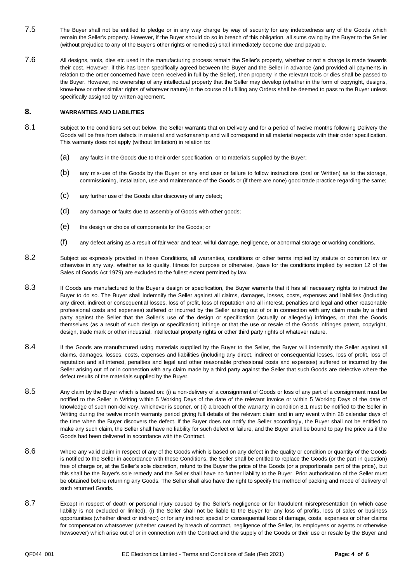- 7.5 The Buyer shall not be entitled to pledge or in any way charge by way of security for any indebtedness any of the Goods which remain the Seller's property. However, if the Buyer should do so in breach of this obligation, all sums owing by the Buyer to the Seller (without prejudice to any of the Buyer's other rights or remedies) shall immediately become due and payable.
- 7.6 All designs, tools, dies etc used in the manufacturing process remain the Seller's property, whether or not a charge is made towards their cost. However, if this has been specifically agreed between the Buyer and the Seller in advance (and provided all payments in relation to the order concerned have been received in full by the Seller), then property in the relevant tools or dies shall be passed to the Buyer. However, no ownership of any intellectual property that the Seller may develop (whether in the form of copyright, designs, know-how or other similar rights of whatever nature) in the course of fulfilling any Orders shall be deemed to pass to the Buyer unless specifically assigned by written agreement.

# **8. WARRANTIES AND LIABILITIES**

- 8.1 Subject to the conditions set out below, the Seller warrants that on Delivery and for a period of twelve months following Delivery the Goods will be free from defects in material and workmanship and will correspond in all material respects with their order specification. This warranty does not apply (without limitation) in relation to:
	- (a) any faults in the Goods due to their order specification, or to materials supplied by the Buyer;
	- (b) any mis-use of the Goods by the Buyer or any end user or failure to follow instructions (oral or Written) as to the storage, commissioning, installation, use and maintenance of the Goods or (if there are none) good trade practice regarding the same;
	- (c) any further use of the Goods after discovery of any defect;
	- (d) any damage or faults due to assembly of Goods with other goods;
	- (e) the design or choice of components for the Goods; or
	- (f) any defect arising as a result of fair wear and tear, wilful damage, negligence, or abnormal storage or working conditions.
- 8.2 Subject as expressly provided in these Conditions, all warranties, conditions or other terms implied by statute or common law or otherwise in any way, whether as to quality, fitness for purpose or otherwise, (save for the conditions implied by section 12 of the Sales of Goods Act 1979) are excluded to the fullest extent permitted by law.
- 8.3 If Goods are manufactured to the Buyer's design or specification, the Buyer warrants that it has all necessary rights to instruct the Buyer to do so. The Buyer shall indemnify the Seller against all claims, damages, losses, costs, expenses and liabilities (including any direct, indirect or consequential losses, loss of profit, loss of reputation and all interest, penalties and legal and other reasonable professional costs and expenses) suffered or incurred by the Seller arising out of or in connection with any claim made by a third party against the Seller that the Seller's use of the design or specification (actually or allegedly) infringes, or that the Goods themselves (as a result of such design or specification) infringe or that the use or resale of the Goods infringes patent, copyright, design, trade mark or other industrial, intellectual property rights or other third party rights of whatever nature.
- 8.4 If the Goods are manufactured using materials supplied by the Buyer to the Seller, the Buyer will indemnify the Seller against all claims, damages, losses, costs, expenses and liabilities (including any direct, indirect or consequential losses, loss of profit, loss of reputation and all interest, penalties and legal and other reasonable professional costs and expenses) suffered or incurred by the Seller arising out of or in connection with any claim made by a third party against the Seller that such Goods are defective where the defect results of the materials supplied by the Buyer.
- <span id="page-3-0"></span>8.5 Any claim by the Buyer which is based on: (i) a non-delivery of a consignment of Goods or loss of any part of a consignment must be notified to the Seller in Writing within 5 Working Days of the date of the relevant invoice or within 5 Working Days of the date of knowledge of such non-delivery, whichever is sooner, or (ii) a breach of the warranty in condition 8.1 must be notified to the Seller in Writing during the twelve month warranty period giving full details of the relevant claim and in any event within 28 calendar days of the time when the Buyer discovers the defect. If the Buyer does not notify the Seller accordingly, the Buyer shall not be entitled to make any such claim, the Seller shall have no liability for such defect or failure, and the Buyer shall be bound to pay the price as if the Goods had been delivered in accordance with the Contract.
- 8.6 Where any valid claim in respect of any of the Goods which is based on any defect in the quality or condition or quantity of the Goods is notified to the Seller in accordance with these Conditions, the Seller shall be entitled to replace the Goods (or the part in question) free of charge or, at the Seller's sole discretion, refund to the Buyer the price of the Goods (or a proportionate part of the price), but this shall be the Buyer's sole remedy and the Seller shall have no further liability to the Buyer. Prior authorisation of the Seller must be obtained before returning any Goods. The Seller shall also have the right to specify the method of packing and mode of delivery of such returned Goods.
- 8.7 Except in respect of death or personal injury caused by the Seller's negligence or for fraudulent misrepresentation (in which case liability is not excluded or limited), (i) the Seller shall not be liable to the Buyer for any loss of profits, loss of sales or business opportunities (whether direct or indirect) or for any indirect special or consequential loss of damage, costs, expenses or other claims for compensation whatsoever (whether caused by breach of contract, negligence of the Seller, its employees or agents or otherwise howsoever) which arise out of or in connection with the Contract and the supply of the Goods or their use or resale by the Buyer and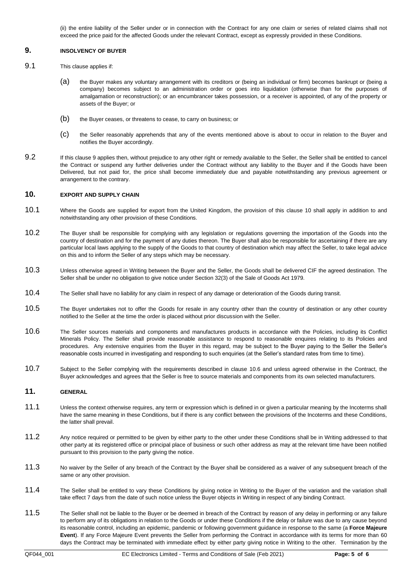(ii) the entire liability of the Seller under or in connection with the Contract for any one claim or series of related claims shall not exceed the price paid for the affected Goods under the relevant Contract, except as expressly provided in these Conditions.

### <span id="page-4-0"></span>**9. INSOLVENCY OF BUYER**

- 9.1 This clause applies if:
	- (a) the Buyer makes any voluntary arrangement with its creditors or (being an individual or firm) becomes bankrupt or (being a company) becomes subject to an administration order or goes into liquidation (otherwise than for the purposes of amalgamation or reconstruction); or an encumbrancer takes possession, or a receiver is appointed, of any of the property or assets of the Buyer; or
	- (b) the Buyer ceases, or threatens to cease, to carry on business; or
	- (c) the Seller reasonably apprehends that any of the events mentioned above is about to occur in relation to the Buyer and notifies the Buyer accordingly.
- 9.2 If this clause [9](#page-4-0) applies then, without prejudice to any other right or remedy available to the Seller, the Seller shall be entitled to cancel the Contract or suspend any further deliveries under the Contract without any liability to the Buyer and if the Goods have been Delivered, but not paid for, the price shall become immediately due and payable notwithstanding any previous agreement or arrangement to the contrary.

## <span id="page-4-1"></span>**10. EXPORT AND SUPPLY CHAIN**

- 10.1 Where the Goods are supplied for export from the United Kingdom, the provision of this clause [10](#page-4-1) shall apply in addition to and notwithstanding any other provision of these Conditions.
- 10.2 The Buyer shall be responsible for complying with any legislation or regulations governing the importation of the Goods into the country of destination and for the payment of any duties thereon. The Buyer shall also be responsible for ascertaining if there are any particular local laws applying to the supply of the Goods to that country of destination which may affect the Seller, to take legal advice on this and to inform the Seller of any steps which may be necessary.
- 10.3 Unless otherwise agreed in Writing between the Buyer and the Seller, the Goods shall be delivered CIF the agreed destination. The Seller shall be under no obligation to give notice under Section 32(3) of the Sale of Goods Act 1979.
- 10.4 The Seller shall have no liability for any claim in respect of any damage or deterioration of the Goods during transit.
- 10.5 The Buyer undertakes not to offer the Goods for resale in any country other than the country of destination or any other country notified to the Seller at the time the order is placed without prior discussion with the Seller.
- <span id="page-4-2"></span>10.6 The Seller sources materials and components and manufactures products in accordance with the Policies, including its Conflict Minerals Policy. The Seller shall provide reasonable assistance to respond to reasonable enquires relating to its Policies and procedures. Any extensive enquiries from the Buyer in this regard, may be subject to the Buyer paying to the Seller the Seller's reasonable costs incurred in investigating and responding to such enquiries (at the Seller's standard rates from time to time).
- 10.7 Subject to the Seller complying with the requirements described in clause [10.6](#page-4-2) and unless agreed otherwise in the Contract, the Buyer acknowledges and agrees that the Seller is free to source materials and components from its own selected manufacturers.

# **11. GENERAL**

- 11.1 Unless the context otherwise requires, any term or expression which is defined in or given a particular meaning by the Incoterms shall have the same meaning in these Conditions, but if there is any conflict between the provisions of the Incoterms and these Conditions, the latter shall prevail.
- 11.2 Any notice required or permitted to be given by either party to the other under these Conditions shall be in Writing addressed to that other party at its registered office or principal place of business or such other address as may at the relevant time have been notified pursuant to this provision to the party giving the notice.
- 11.3 No waiver by the Seller of any breach of the Contract by the Buyer shall be considered as a waiver of any subsequent breach of the same or any other provision.
- 11.4 The Seller shall be entitled to vary these Conditions by giving notice in Writing to the Buyer of the variation and the variation shall take effect 7 days from the date of such notice unless the Buyer objects in Writing in respect of any binding Contract.
- <span id="page-4-3"></span>11.5 The Seller shall not be liable to the Buyer or be deemed in breach of the Contract by reason of any delay in performing or any failure to perform any of its obligations in relation to the Goods or under these Conditions if the delay or failure was due to any cause beyond its reasonable control, including an epidemic, pandemic or following government guidance in response to the same (a **Force Majeure Event**). If any Force Majeure Event prevents the Seller from performing the Contract in accordance with its terms for more than 60 days the Contract may be terminated with immediate effect by either party giving notice in Writing to the other. Termination by the